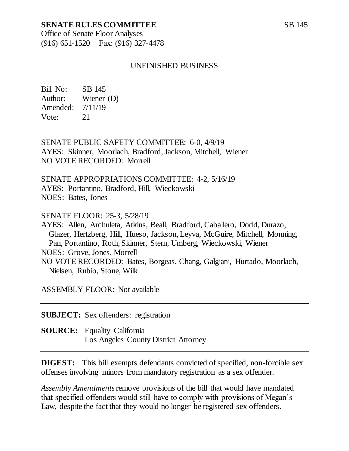### **SENATE RULES COMMITTEE**

Office of Senate Floor Analyses (916) 651-1520 Fax: (916) 327-4478

#### UNFINISHED BUSINESS

Bill No: SB 145 Author: Wiener (D) Amended: 7/11/19 Vote: 21

SENATE PUBLIC SAFETY COMMITTEE: 6-0, 4/9/19 AYES: Skinner, Moorlach, Bradford, Jackson, Mitchell, Wiener NO VOTE RECORDED: Morrell

SENATE APPROPRIATIONS COMMITTEE: 4-2, 5/16/19 AYES: Portantino, Bradford, Hill, Wieckowski NOES: Bates, Jones

SENATE FLOOR: 25-3, 5/28/19

AYES: Allen, Archuleta, Atkins, Beall, Bradford, Caballero, Dodd, Durazo, Glazer, Hertzberg, Hill, Hueso, Jackson, Leyva, McGuire, Mitchell, Monning, Pan, Portantino, Roth, Skinner, Stern, Umberg, Wieckowski, Wiener NOES: Grove, Jones, Morrell NO VOTE RECORDED: Bates, Borgeas, Chang, Galgiani, Hurtado, Moorlach, Nielsen, Rubio, Stone, Wilk

ASSEMBLY FLOOR: Not available

**SUBJECT:** Sex offenders: registration

**SOURCE:** Equality California Los Angeles County District Attorney

**DIGEST:** This bill exempts defendants convicted of specified, non-forcible sex offenses involving minors from mandatory registration as a sex offender.

*Assembly Amendments*remove provisions of the bill that would have mandated that specified offenders would still have to comply with provisions of Megan's Law, despite the fact that they would no longer be registered sex offenders.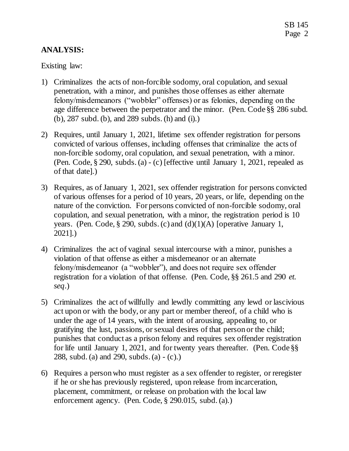## **ANALYSIS:**

Existing law:

- 1) Criminalizes the acts of non-forcible sodomy, oral copulation, and sexual penetration, with a minor, and punishes those offenses as either alternate felony/misdemeanors ("wobbler" offenses) or as felonies, depending on the age difference between the perpetrator and the minor. (Pen. Code §§ 286 subd. (b), 287 subd. (b), and 289 subds. (h) and (i).)
- 2) Requires, until January 1, 2021, lifetime sex offender registration for persons convicted of various offenses, including offenses that criminalize the acts of non-forcible sodomy, oral copulation, and sexual penetration, with a minor. (Pen. Code, § 290, subds. (a) - (c) [effective until January 1, 2021, repealed as of that date].)
- 3) Requires, as of January 1, 2021, sex offender registration for persons convicted of various offenses for a period of 10 years, 20 years, or life, depending on the nature of the conviction. For persons convicted of non-forcible sodomy, oral copulation, and sexual penetration, with a minor, the registration period is 10 years. (Pen. Code, § 290, subds. (c) and (d)(1)(A) [operative January 1, 2021].)
- 4) Criminalizes the act of vaginal sexual intercourse with a minor, punishes a violation of that offense as either a misdemeanor or an alternate felony/misdemeanor (a "wobbler"), and does not require sex offender registration for a violation of that offense. (Pen. Code, §§ 261.5 and 290 *et. seq*.)
- 5) Criminalizes the act of willfully and lewdly committing any lewd or lascivious act upon or with the body, or any part or member thereof, of a child who is under the age of 14 years, with the intent of arousing, appealing to, or gratifying the lust, passions, or sexual desires of that person or the child; punishes that conduct as a prison felony and requires sex offender registration for life until January 1, 2021, and for twenty years thereafter. (Pen. Code §§ 288, subd. (a) and 290, subds. (a) - (c).)
- 6) Requires a person who must register as a sex offender to register, or reregister if he or she has previously registered, upon release from incarceration, placement, commitment, or release on probation with the local law enforcement agency. (Pen. Code, § 290.015, subd. (a).)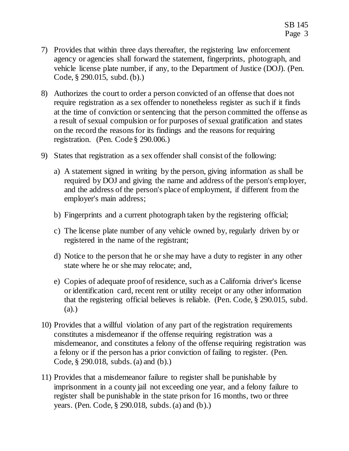- 7) Provides that within three days thereafter, the registering law enforcement agency or agencies shall forward the statement, fingerprints, photograph, and vehicle license plate number, if any, to the Department of Justice (DOJ). (Pen. Code, § 290.015, subd. (b).)
- 8) Authorizes the court to order a person convicted of an offense that does not require registration as a sex offender to nonetheless register as such if it finds at the time of conviction or sentencing that the person committed the offense as a result of sexual compulsion or for purposes of sexual gratification and states on the record the reasons for its findings and the reasons for requiring registration. (Pen. Code § 290.006.)
- 9) States that registration as a sex offender shall consist of the following:
	- a) A statement signed in writing by the person, giving information as shall be required by DOJ and giving the name and address of the person's employer, and the address of the person's place of employment, if different from the employer's main address;
	- b) Fingerprints and a current photograph taken by the registering official;
	- c) The license plate number of any vehicle owned by, regularly driven by or registered in the name of the registrant;
	- d) Notice to the person that he or she may have a duty to register in any other state where he or she may relocate; and,
	- e) Copies of adequate proof of residence, such as a California driver's license or identification card, recent rent or utility receipt or any other information that the registering official believes is reliable. (Pen. Code, § 290.015, subd. (a).)
- 10) Provides that a willful violation of any part of the registration requirements constitutes a misdemeanor if the offense requiring registration was a misdemeanor, and constitutes a felony of the offense requiring registration was a felony or if the person has a prior conviction of failing to register. (Pen. Code, § 290.018, subds. (a) and (b).)
- 11) Provides that a misdemeanor failure to register shall be punishable by imprisonment in a county jail not exceeding one year, and a felony failure to register shall be punishable in the state prison for 16 months, two or three years. (Pen. Code, § 290.018, subds. (a) and (b).)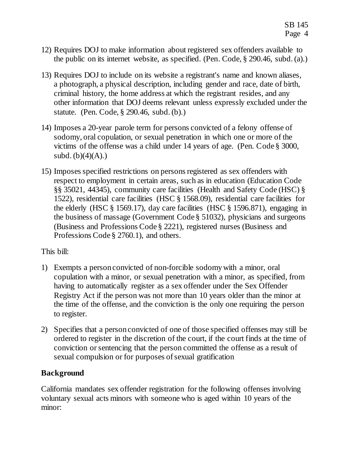- 12) Requires DOJ to make information about registered sex offenders available to the public on its internet website, as specified. (Pen. Code, § 290.46, subd. (a).)
- 13) Requires DOJ to include on its website a registrant's name and known aliases, a photograph, a physical description, including gender and race, date of birth, criminal history, the home address at which the registrant resides, and any other information that DOJ deems relevant unless expressly excluded under the statute. (Pen. Code, § 290.46, subd. (b).)
- 14) Imposes a 20-year parole term for persons convicted of a felony offense of sodomy, oral copulation, or sexual penetration in which one or more of the victims of the offense was a child under 14 years of age. (Pen. Code § 3000, subd.  $(b)(4)(A)$ .)
- 15) Imposes specified restrictions on persons registered as sex offenders with respect to employment in certain areas, such as in education (Education Code §§ 35021, 44345), community care facilities (Health and Safety Code (HSC) § 1522), residential care facilities (HSC § 1568.09), residential care facilities for the elderly (HSC § 1569.17), day care facilities (HSC § 1596.871), engaging in the business of massage (Government Code § 51032), physicians and surgeons (Business and Professions Code § 2221), registered nurses (Business and Professions Code § 2760.1), and others.

This bill:

- 1) Exempts a person convicted of non-forcible sodomy with a minor, oral copulation with a minor, or sexual penetration with a minor, as specified, from having to automatically register as a sex offender under the Sex Offender Registry Act if the person was not more than 10 years older than the minor at the time of the offense, and the conviction is the only one requiring the person to register.
- 2) Specifies that a person convicted of one of those specified offenses may still be ordered to register in the discretion of the court, if the court finds at the time of conviction or sentencing that the person committed the offense as a result of sexual compulsion or for purposes of sexual gratification

### **Background**

California mandates sex offender registration for the following offenses involving voluntary sexual acts minors with someone who is aged within 10 years of the minor: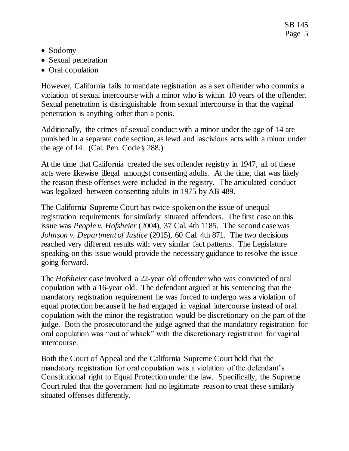- Sodomy
- Sexual penetration
- Oral copulation

However, California fails to mandate registration as a sex offender who commits a violation of sexual intercourse with a minor who is within 10 years of the offender. Sexual penetration is distinguishable from sexual intercourse in that the vaginal penetration is anything other than a penis.

Additionally, the crimes of sexual conduct with a minor under the age of 14 are punished in a separate code section, as lewd and lascivious acts with a minor under the age of 14. (Cal. Pen. Code  $\S$  288.)

At the time that California created the sex offender registry in 1947, all of these acts were likewise illegal amongst consenting adults. At the time, that was likely the reason these offenses were included in the registry. The articulated conduct was legalized between consenting adults in 1975 by AB 489.

The California Supreme Court has twice spoken on the issue of unequal registration requirements for similarly situated offenders. The first case on this issue was *People v. Hofsheier* (2004), 37 Cal. 4th 1185. The second case was *Johnson v. Department of Justice* (2015), 60 Cal. 4th 871. The two decisions reached very different results with very similar fact patterns. The Legislature speaking on this issue would provide the necessary guidance to resolve the issue going forward.

The *Hofsheier* case involved a 22-year old offender who was convicted of oral copulation with a 16-year old. The defendant argued at his sentencing that the mandatory registration requirement he was forced to undergo was a violation of equal protection because if he had engaged in vaginal intercourse instead of oral copulation with the minor the registration would be discretionary on the part of the judge. Both the prosecutor and the judge agreed that the mandatory registration for oral copulation was "out of whack" with the discretionary registration for vaginal intercourse.

Both the Court of Appeal and the California Supreme Court held that the mandatory registration for oral copulation was a violation of the defendant's Constitutional right to Equal Protection under the law. Specifically, the Supreme Court ruled that the government had no legitimate reason to treat these similarly situated offenses differently.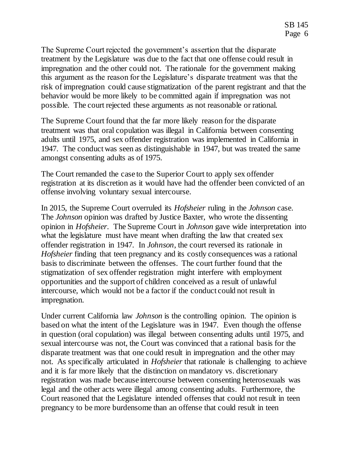The Supreme Court rejected the government's assertion that the disparate treatment by the Legislature was due to the fact that one offense could result in impregnation and the other could not. The rationale for the government making this argument as the reason for the Legislature's disparate treatment was that the risk of impregnation could cause stigmatization of the parent registrant and that the behavior would be more likely to be committed again if impregnation was not possible. The court rejected these arguments as not reasonable or rational.

The Supreme Court found that the far more likely reason for the disparate treatment was that oral copulation was illegal in California between consenting adults until 1975, and sex offender registration was implemented in California in 1947. The conduct was seen as distinguishable in 1947, but was treated the same amongst consenting adults as of 1975.

The Court remanded the case to the Superior Court to apply sex offender registration at its discretion as it would have had the offender been convicted of an offense involving voluntary sexual intercourse.

In 2015, the Supreme Court overruled its *Hofsheier* ruling in the *Johnson* case. The *Johnson* opinion was drafted by Justice Baxter, who wrote the dissenting opinion in *Hofsheier*. The Supreme Court in *Johnson* gave wide interpretation into what the legislature must have meant when drafting the law that created sex offender registration in 1947. In *Johnson*, the court reversed its rationale in *Hofsheier* finding that teen pregnancy and its costly consequences was a rational basis to discriminate between the offenses. The court further found that the stigmatization of sex offender registration might interfere with employment opportunities and the support of children conceived as a result of unlawful intercourse, which would not be a factor if the conduct could not result in impregnation.

Under current California law *Johnson* is the controlling opinion. The opinion is based on what the intent of the Legislature was in 1947. Even though the offense in question (oral copulation) was illegal between consenting adults until 1975, and sexual intercourse was not, the Court was convinced that a rational basis for the disparate treatment was that one could result in impregnation and the other may not. As specifically articulated in *Hofsheier* that rationale is challenging to achieve and it is far more likely that the distinction on mandatory vs. discretionary registration was made because intercourse between consenting heterosexuals was legal and the other acts were illegal among consenting adults. Furthermore, the Court reasoned that the Legislature intended offenses that could not result in teen pregnancy to be more burdensome than an offense that could result in teen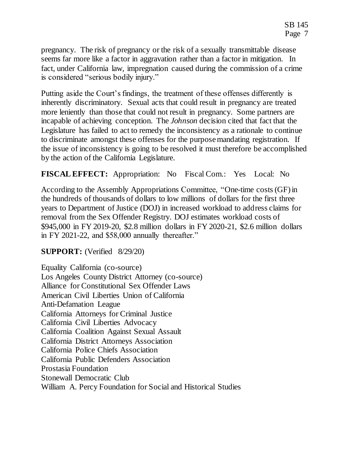pregnancy. The risk of pregnancy or the risk of a sexually transmittable disease seems far more like a factor in aggravation rather than a factor in mitigation. In fact, under California law, impregnation caused during the commission of a crime is considered "serious bodily injury."

Putting aside the Court's findings, the treatment of these offenses differently is inherently discriminatory. Sexual acts that could result in pregnancy are treated more leniently than those that could not result in pregnancy. Some partners are incapable of achieving conception. The *Johnson* decision cited that fact that the Legislature has failed to act to remedy the inconsistency as a rationale to continue to discriminate amongst these offenses for the purpose mandating registration. If the issue of inconsistency is going to be resolved it must therefore be accomplished by the action of the California Legislature.

**FISCAL EFFECT:** Appropriation: No Fiscal Com.: Yes Local: No

According to the Assembly Appropriations Committee, "One-time costs (GF) in the hundreds of thousands of dollars to low millions of dollars for the first three years to Department of Justice (DOJ) in increased workload to address claims for removal from the Sex Offender Registry. DOJ estimates workload costs of \$945,000 in FY 2019-20, \$2.8 million dollars in FY 2020-21, \$2.6 million dollars in FY 2021-22, and \$58,000 annually thereafter."

### **SUPPORT:** (Verified 8/29/20)

Equality California (co-source) Los Angeles County District Attorney (co-source) Alliance for Constitutional Sex Offender Laws American Civil Liberties Union of California Anti-Defamation League California Attorneys for Criminal Justice California Civil Liberties Advocacy California Coalition Against Sexual Assault California District Attorneys Association California Police Chiefs Association California Public Defenders Association Prostasia Foundation Stonewall Democratic Club William A. Percy Foundation for Social and Historical Studies